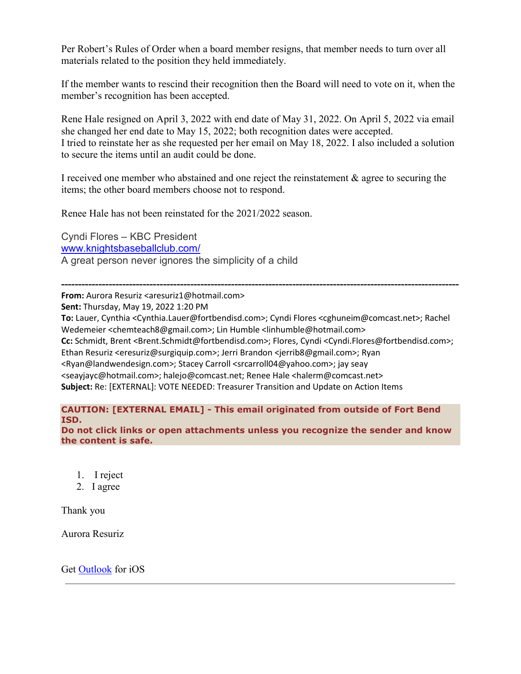Per Robert's Rules of Order when a board member resigns, that member needs to turn over all materials related to the position they held immediately.

If the member wants to rescind their recognition then the Board will need to vote on it, when the member's recognition has been accepted.

Rene Hale resigned on April 3, 2022 with end date of May 31, 2022. On April 5, 2022 via email she changed her end date to May 15, 2022; both recognition dates were accepted. I tried to reinstate her as she requested per her email on May 18, 2022. I also included a solution to secure the items until an audit could be done.

I received one member who abstained and one reject the reinstatement & agree to securing the items; the other board members choose not to respond.

Renee Hale has not been reinstated for the 2021/2022 season.

Cyndi Flores – KBC President [www.knightsbaseballclub.com/](http://www.knightsbaseballclub.com/) A great person never ignores the simplicity of a child

**--------------------------------------------------------------------------------------------------------------------- From:** Aurora Resuriz <aresuriz1@hotmail.com>

**Sent:** Thursday, May 19, 2022 1:20 PM

**To:** Lauer, Cynthia <Cynthia.Lauer@fortbendisd.com>; Cyndi Flores <cghuneim@comcast.net>; Rachel Wedemeier <chemteach8@gmail.com>; Lin Humble <linhumble@hotmail.com> **Cc:** Schmidt, Brent <Brent.Schmidt@fortbendisd.com>; Flores, Cyndi <Cyndi.Flores@fortbendisd.com>; Ethan Resuriz <eresuriz@surgiquip.com>; Jerri Brandon <jerrib8@gmail.com>; Ryan <Ryan@landwendesign.com>; Stacey Carroll <srcarroll04@yahoo.com>; jay seay <seayjayc@hotmail.com>; halejo@comcast.net; Renee Hale <halerm@comcast.net> **Subject:** Re: [EXTERNAL]: VOTE NEEDED: Treasurer Transition and Update on Action Items

### **CAUTION: [EXTERNAL EMAIL] - This email originated from outside of Fort Bend ISD.**

**Do not click links or open attachments unless you recognize the sender and know the content is safe.**

- 1. I reject
- 2. I agree

Thank you

Aurora Resuriz

Get [Outlook](https://aka.ms/qtex0l) for iOS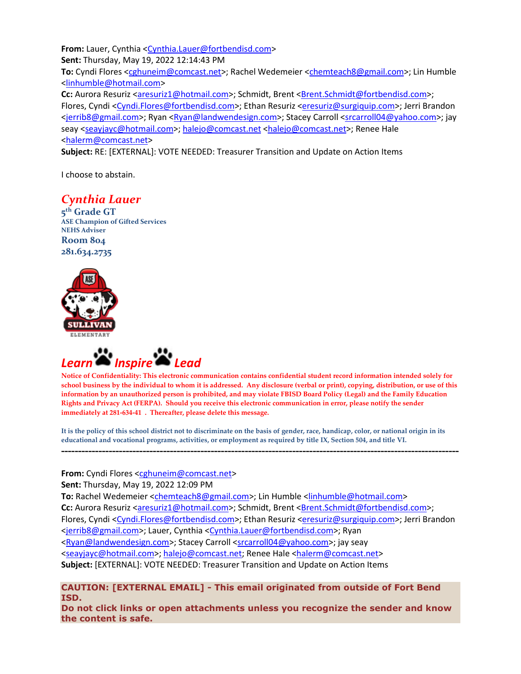**From:** Lauer, Cynthia [<Cynthia.Lauer@fortbendisd.com>](mailto:Cynthia.Lauer@fortbendisd.com) **Sent:** Thursday, May 19, 2022 12:14:43 PM **To:** Cyndi Flores [<cghuneim@comcast.net>](mailto:cghuneim@comcast.net); Rachel Wedemeier [<chemteach8@gmail.com>](mailto:chemteach8@gmail.com); Lin Humble [<linhumble@hotmail.com>](mailto:linhumble@hotmail.com) **Cc:** Aurora Resuriz [<aresuriz1@hotmail.com>](mailto:aresuriz1@hotmail.com); Schmidt, Brent [<Brent.Schmidt@fortbendisd.com>](mailto:Brent.Schmidt@fortbendisd.com); Flores, Cyndi [<Cyndi.Flores@fortbendisd.com>](mailto:Cyndi.Flores@fortbendisd.com); Ethan Resuriz [<eresuriz@surgiquip.com>](mailto:eresuriz@surgiquip.com); Jerri Brandon [<jerrib8@gmail.com>](mailto:jerrib8@gmail.com); Ryan [<Ryan@landwendesign.com>](mailto:Ryan@landwendesign.com); Stacey Carroll [<srcarroll04@yahoo.com>](mailto:srcarroll04@yahoo.com); jay seay [<seayjayc@hotmail.com>](mailto:seayjayc@hotmail.com)[; halejo@comcast.net](mailto:halejo@comcast.net) [<halejo@comcast.net>](mailto:halejo@comcast.net); Renee Hale [<halerm@comcast.net>](mailto:halerm@comcast.net)

**Subject:** RE: [EXTERNAL]: VOTE NEEDED: Treasurer Transition and Update on Action Items

I choose to abstain.

# *Cynthia Lauer*

**5th Grade GT ASE Champion of Gifted Services NEHS Adviser Room 804 281.634.2735**





**Notice of Confidentiality: This electronic communication contains confidential student record information intended solely for school business by the individual to whom it is addressed. Any disclosure (verbal or print), copying, distribution, or use of this information by an unauthorized person is prohibited, and may violate FBISD Board Policy (Legal) and the Family Education Rights and Privacy Act (FERPA). Should you receive this electronic communication in error, please notify the sender immediately at 281-634-41 . Thereafter, please delete this message.**

**It is the policy of this school district not to discriminate on the basis of gender, race, handicap, color, or national origin in its educational and vocational programs, activities, or employment as required by title IX, Section 504, and title VI.**

**---------------------------------------------------------------------------------------------------------------------**

**From:** Cyndi Flores [<cghuneim@comcast.net>](mailto:cghuneim@comcast.net)

**Sent:** Thursday, May 19, 2022 12:09 PM

**To:** Rachel Wedemeier [<chemteach8@gmail.com>](mailto:chemteach8@gmail.com); Lin Humble [<linhumble@hotmail.com>](mailto:linhumble@hotmail.com) **Cc:** Aurora Resuriz [<aresuriz1@hotmail.com>](mailto:aresuriz1@hotmail.com); Schmidt, Brent [<Brent.Schmidt@fortbendisd.com>](mailto:Brent.Schmidt@fortbendisd.com); Flores, Cyndi [<Cyndi.Flores@fortbendisd.com>](mailto:Cyndi.Flores@fortbendisd.com); Ethan Resuriz [<eresuriz@surgiquip.com>](mailto:eresuriz@surgiquip.com); Jerri Brandon [<jerrib8@gmail.com>](mailto:jerrib8@gmail.com); Lauer, Cynthia [<Cynthia.Lauer@fortbendisd.com>](mailto:Cynthia.Lauer@fortbendisd.com); Ryan [<Ryan@landwendesign.com>](mailto:Ryan@landwendesign.com); Stacey Carroll [<srcarroll04@yahoo.com>](mailto:srcarroll04@yahoo.com); jay seay [<seayjayc@hotmail.com>](mailto:seayjayc@hotmail.com); [halejo@comcast.net;](mailto:halejo@comcast.net) Renee Hale [<halerm@comcast.net>](mailto:halerm@comcast.net) **Subject:** [EXTERNAL]: VOTE NEEDED: Treasurer Transition and Update on Action Items

**CAUTION: [EXTERNAL EMAIL] - This email originated from outside of Fort Bend ISD.**

**Do not click links or open attachments unless you recognize the sender and know the content is safe.**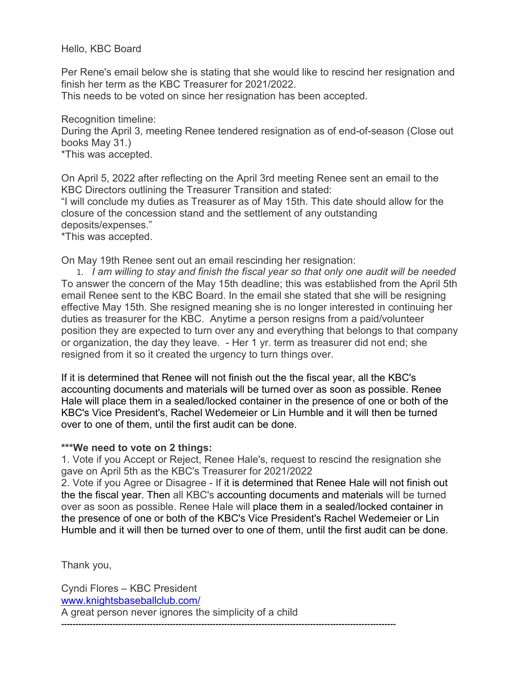Hello, KBC Board

Per Rene's email below she is stating that she would like to rescind her resignation and finish her term as the KBC Treasurer for 2021/2022.

This needs to be voted on since her resignation has been accepted.

Recognition timeline:

During the April 3, meeting Renee tendered resignation as of end-of-season (Close out books May 31.)

\*This was accepted.

On April 5, 2022 after reflecting on the April 3rd meeting Renee sent an email to the KBC Directors outlining the Treasurer Transition and stated:

"I will conclude my duties as Treasurer as of May 15th. This date should allow for the closure of the concession stand and the settlement of any outstanding deposits/expenses."

\*This was accepted.

On May 19th Renee sent out an email rescinding her resignation:

1. *I am willing to stay and finish the fiscal year so that only one audit will be needed* To answer the concern of the May 15th deadline; this was established from the April 5th email Renee sent to the KBC Board. In the email she stated that she will be resigning effective May 15th. She resigned meaning she is no longer interested in continuing her duties as treasurer for the KBC. Anytime a person resigns from a paid/volunteer position they are expected to turn over any and everything that belongs to that company or organization, the day they leave. - Her 1 yr. term as treasurer did not end; she resigned from it so it created the urgency to turn things over.

If it is determined that Renee will not finish out the the fiscal year, all the KBC's accounting documents and materials will be turned over as soon as possible. Renee Hale will place them in a sealed/locked container in the presence of one or both of the KBC's Vice President's, Rachel Wedemeier or Lin Humble and it will then be turned over to one of them, until the first audit can be done.

## **\*\*\*We need to vote on 2 things:**

1. Vote if you Accept or Reject, Renee Hale's, request to rescind the resignation she gave on April 5th as the KBC's Treasurer for 2021/2022

2. Vote if you Agree or Disagree - If it is determined that Renee Hale will not finish out the the fiscal year. Then all KBC's accounting documents and materials will be turned over as soon as possible. Renee Hale will place them in a sealed/locked container in the presence of one or both of the KBC's Vice President's Rachel Wedemeier or Lin Humble and it will then be turned over to one of them, until the first audit can be done.

Thank you,

Cyndi Flores – KBC President [www.knightsbaseballclub.com/](http://www.knightsbaseballclub.com/) A great person never ignores the simplicity of a child **---------------------------------------------------------------------------------------------------------------------**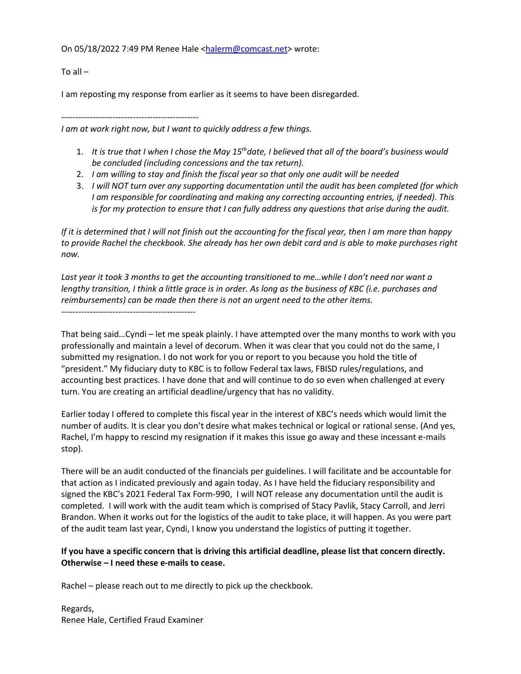On 05/18/2022 7:49 PM Renee Hale [<halerm@comcast.net>](mailto:halerm@comcast.net) wrote:

To all  $-$ 

I am reposting my response from earlier as it seems to have been disregarded.

------------------------------------------------

*I am at work right now, but I want to quickly address a few things.*

- 1. *It is true that I when I chose the May 15thdate, I believed that all of the board's business would be concluded (including concessions and the tax return).*
- 2. *I am willing to stay and finish the fiscal year so that only one audit will be needed*
- 3. *I will NOT turn over any supporting documentation until the audit has been completed (for which I am responsible for coordinating and making any correcting accounting entries, if needed). This is for my protection to ensure that I can fully address any questions that arise during the audit.*

*If it is determined that I will not finish out the accounting for the fiscal year, then I am more than happy to provide Rachel the checkbook. She already has her own debit card and is able to make purchases right now.*

Last year it took 3 months to get the accounting transitioned to me...while I don't need nor want a *lengthy transition, I think a little grace is in order. As long as the business of KBC (i.e. purchases and reimbursements) can be made then there is not an urgent need to the other items.*

-----------------------------------------------

That being said…Cyndi – let me speak plainly. I have attempted over the many months to work with you professionally and maintain a level of decorum. When it was clear that you could not do the same, I submitted my resignation. I do not work for you or report to you because you hold the title of "president." My fiduciary duty to KBC is to follow Federal tax laws, FBISD rules/regulations, and accounting best practices. I have done that and will continue to do so even when challenged at every turn. You are creating an artificial deadline/urgency that has no validity.

Earlier today I offered to complete this fiscal year in the interest of KBC's needs which would limit the number of audits. It is clear you don't desire what makes technical or logical or rational sense. (And yes, Rachel, I'm happy to rescind my resignation if it makes this issue go away and these incessant e-mails stop).

There will be an audit conducted of the financials per guidelines. I will facilitate and be accountable for that action as I indicated previously and again today. As I have held the fiduciary responsibility and signed the KBC's 2021 Federal Tax Form-990, I will NOT release any documentation until the audit is completed. I will work with the audit team which is comprised of Stacy Pavlik, Stacy Carroll, and Jerri Brandon. When it works out for the logistics of the audit to take place, it will happen. As you were part of the audit team last year, Cyndi, I know you understand the logistics of putting it together.

### **If you have a specific concern that is driving this artificial deadline, please list that concern directly. Otherwise – I need these e-mails to cease.**

Rachel – please reach out to me directly to pick up the checkbook.

Regards, Renee Hale, Certified Fraud Examiner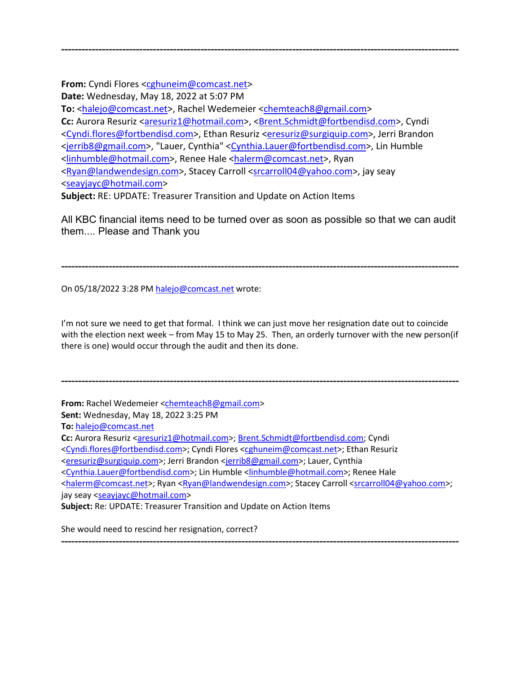**From:** Cyndi Flores [<cghuneim@comcast.net>](mailto:cghuneim@comcast.net)

**Date:** Wednesday, May 18, 2022 at 5:07 PM

**To:** [<halejo@comcast.net>](mailto:halejo@comcast.net), Rachel Wedemeier [<chemteach8@gmail.com>](mailto:chemteach8@gmail.com) Cc: Aurora Resuriz [<aresuriz1@hotmail.com>](mailto:aresuriz1@hotmail.com), [<Brent.Schmidt@fortbendisd.com>](mailto:Brent.Schmidt@fortbendisd.com), Cyndi [<Cyndi.flores@fortbendisd.com>](mailto:Cyndi.flores@fortbendisd.com), Ethan Resuriz [<eresuriz@surgiquip.com>](mailto:eresuriz@surgiquip.com), Jerri Brandon [<jerrib8@gmail.com>](mailto:jerrib8@gmail.com), "Lauer, Cynthia" [<Cynthia.Lauer@fortbendisd.com>](mailto:Cynthia.Lauer@fortbendisd.com), Lin Humble [<linhumble@hotmail.com>](mailto:linhumble@hotmail.com), Renee Hale [<halerm@comcast.net>](mailto:halerm@comcast.net), Ryan [<Ryan@landwendesign.com>](mailto:Ryan@landwendesign.com), Stacey Carroll [<srcarroll04@yahoo.com>](mailto:srcarroll04@yahoo.com), jay seay [<seayjayc@hotmail.com>](mailto:seayjayc@hotmail.com)

**---------------------------------------------------------------------------------------------------------------------**

**Subject:** RE: UPDATE: Treasurer Transition and Update on Action Items

All KBC financial items need to be turned over as soon as possible so that we can audit them.... Please and Thank you

**---------------------------------------------------------------------------------------------------------------------**

On 05/18/2022 3:28 PM [halejo@comcast.net](mailto:halejo@comcast.net) wrote:

I'm not sure we need to get that formal. I think we can just move her resignation date out to coincide with the election next week – from May 15 to May 25. Then, an orderly turnover with the new person(if there is one) would occur through the audit and then its done.

**---------------------------------------------------------------------------------------------------------------------**

**From:** Rachel Wedemeier [<chemteach8@gmail.com>](mailto:chemteach8@gmail.com)

**Sent:** Wednesday, May 18, 2022 3:25 PM

**To:** [halejo@comcast.net](mailto:halejo@comcast.net)

**Cc:** Aurora Resuriz [<aresuriz1@hotmail.com>](mailto:aresuriz1@hotmail.com)[; Brent.Schmidt@fortbendisd.com;](mailto:Brent.Schmidt@fortbendisd.com) Cyndi

[<Cyndi.flores@fortbendisd.com>](mailto:Cyndi.flores@fortbendisd.com); Cyndi Flores [<cghuneim@comcast.net>](mailto:cghuneim@comcast.net); Ethan Resuriz

[<eresuriz@surgiquip.com>](mailto:eresuriz@surgiquip.com); Jerri Brandon [<jerrib8@gmail.com>](mailto:jerrib8@gmail.com); Lauer, Cynthia

[<Cynthia.Lauer@fortbendisd.com>](mailto:Cynthia.Lauer@fortbendisd.com); Lin Humble [<linhumble@hotmail.com>](mailto:linhumble@hotmail.com); Renee Hale

[<halerm@comcast.net>](mailto:halerm@comcast.net); Ryan [<Ryan@landwendesign.com>](mailto:Ryan@landwendesign.com); Stacey Carroll [<srcarroll04@yahoo.com>](mailto:srcarroll04@yahoo.com); jay seay [<seayjayc@hotmail.com>](mailto:seayjayc@hotmail.com)

**---------------------------------------------------------------------------------------------------------------------**

**Subject:** Re: UPDATE: Treasurer Transition and Update on Action Items

She would need to rescind her resignation, correct?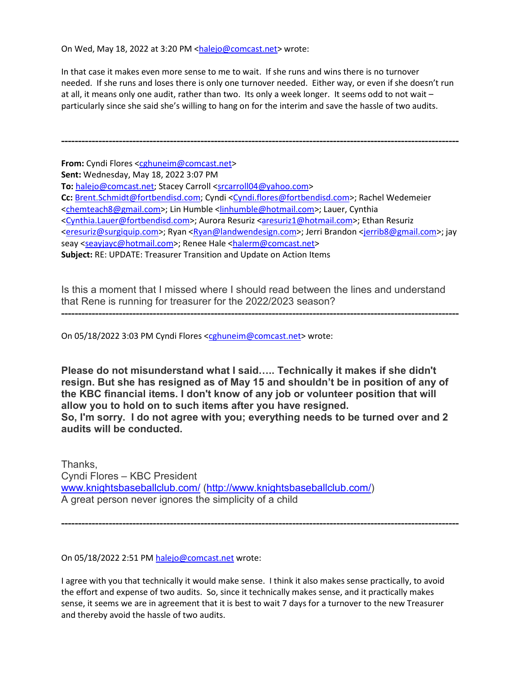On Wed, May 18, 2022 at 3:20 PM [<halejo@comcast.net>](mailto:halejo@comcast.net) wrote:

In that case it makes even more sense to me to wait. If she runs and wins there is no turnover needed. If she runs and loses there is only one turnover needed. Either way, or even if she doesn't run at all, it means only one audit, rather than two. Its only a week longer. It seems odd to not wait – particularly since she said she's willing to hang on for the interim and save the hassle of two audits.

**---------------------------------------------------------------------------------------------------------------------**

**From:** Cyndi Flores [<cghuneim@comcast.net>](mailto:cghuneim@comcast.net) **Sent:** Wednesday, May 18, 2022 3:07 PM **To:** [halejo@comcast.net;](mailto:halejo@comcast.net) Stacey Carroll [<srcarroll04@yahoo.com>](mailto:srcarroll04@yahoo.com) **Cc:** [Brent.Schmidt@fortbendisd.com;](mailto:Brent.Schmidt@fortbendisd.com) Cyndi [<Cyndi.flores@fortbendisd.com>](mailto:Cyndi.flores@fortbendisd.com); Rachel Wedemeier [<chemteach8@gmail.com>](mailto:chemteach8@gmail.com); Lin Humble [<linhumble@hotmail.com>](mailto:linhumble@hotmail.com); Lauer, Cynthia [<Cynthia.Lauer@fortbendisd.com>](mailto:Cynthia.Lauer@fortbendisd.com); Aurora Resuriz [<aresuriz1@hotmail.com>](mailto:aresuriz1@hotmail.com); Ethan Resuriz [<eresuriz@surgiquip.com>](mailto:eresuriz@surgiquip.com); Ryan [<Ryan@landwendesign.com>](mailto:Ryan@landwendesign.com); Jerri Brandon [<jerrib8@gmail.com>](mailto:jerrib8@gmail.com); jay seay [<seayjayc@hotmail.com>](mailto:seayjayc@hotmail.com); Renee Hale [<halerm@comcast.net>](mailto:halerm@comcast.net) **Subject:** RE: UPDATE: Treasurer Transition and Update on Action Items

Is this a moment that I missed where I should read between the lines and understand that Rene is running for treasurer for the 2022/2023 season?

**---------------------------------------------------------------------------------------------------------------------**

On 05/18/2022 3:03 PM Cyndi Flores [<cghuneim@comcast.net>](mailto:cghuneim@comcast.net) wrote:

**Please do not misunderstand what I said….. Technically it makes if she didn't resign. But she has resigned as of May 15 and shouldn't be in position of any of the KBC financial items. I don't know of any job or volunteer position that will allow you to hold on to such items after you have resigned. So, I'm sorry. I do not agree with you; everything needs to be turned over and 2 audits will be conducted.**

Thanks, Cyndi Flores – KBC President [www.knightsbaseballclub.com/](http://www.knightsbaseballclub.com/) [\(http://www.knightsbaseballclub.com/\)](http://www.knightsbaseballclub.com/) A great person never ignores the simplicity of a child

On 05/18/2022 2:51 PM [halejo@comcast.net](mailto:halejo@comcast.net) wrote:

I agree with you that technically it would make sense. I think it also makes sense practically, to avoid the effort and expense of two audits. So, since it technically makes sense, and it practically makes sense, it seems we are in agreement that it is best to wait 7 days for a turnover to the new Treasurer and thereby avoid the hassle of two audits.

**---------------------------------------------------------------------------------------------------------------------**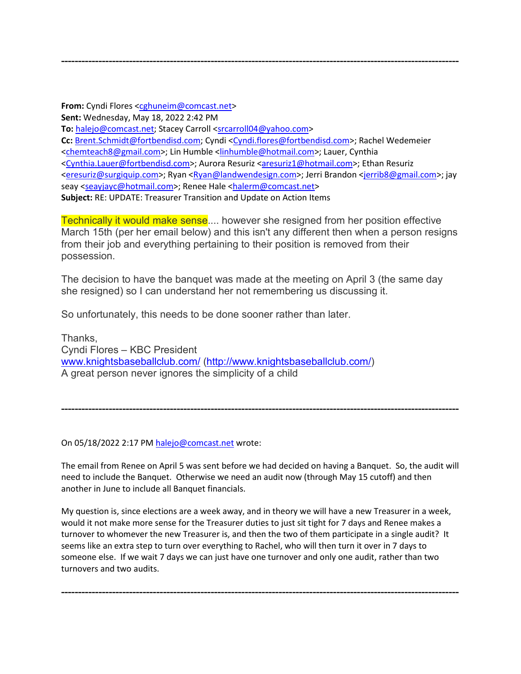**From:** Cyndi Flores [<cghuneim@comcast.net>](mailto:cghuneim@comcast.net) **Sent:** Wednesday, May 18, 2022 2:42 PM **To:** [halejo@comcast.net;](mailto:halejo@comcast.net) Stacey Carroll [<srcarroll04@yahoo.com>](mailto:srcarroll04@yahoo.com) Cc: [Brent.Schmidt@fortbendisd.com;](mailto:Brent.Schmidt@fortbendisd.com) Cyndi [<Cyndi.flores@fortbendisd.com>](mailto:Cyndi.flores@fortbendisd.com); Rachel Wedemeier [<chemteach8@gmail.com>](mailto:chemteach8@gmail.com); Lin Humble [<linhumble@hotmail.com>](mailto:linhumble@hotmail.com); Lauer, Cynthia [<Cynthia.Lauer@fortbendisd.com>](mailto:Cynthia.Lauer@fortbendisd.com); Aurora Resuriz [<aresuriz1@hotmail.com>](mailto:aresuriz1@hotmail.com); Ethan Resuriz [<eresuriz@surgiquip.com>](mailto:eresuriz@surgiquip.com); Ryan [<Ryan@landwendesign.com>](mailto:Ryan@landwendesign.com); Jerri Brandon [<jerrib8@gmail.com>](mailto:jerrib8@gmail.com); jay seay [<seayjayc@hotmail.com>](mailto:seayjayc@hotmail.com); Renee Hale [<halerm@comcast.net>](mailto:halerm@comcast.net) **Subject:** RE: UPDATE: Treasurer Transition and Update on Action Items

**---------------------------------------------------------------------------------------------------------------------**

Technically it would make sense.... however she resigned from her position effective March 15th (per her email below) and this isn't any different then when a person resigns from their job and everything pertaining to their position is removed from their possession.

The decision to have the banquet was made at the meeting on April 3 (the same day she resigned) so I can understand her not remembering us discussing it.

So unfortunately, this needs to be done sooner rather than later.

Thanks, Cyndi Flores – KBC President [www.knightsbaseballclub.com/](http://www.knightsbaseballclub.com/) [\(http://www.knightsbaseballclub.com/\)](http://www.knightsbaseballclub.com/) A great person never ignores the simplicity of a child

On 05/18/2022 2:17 PM [halejo@comcast.net](mailto:halejo@comcast.net) wrote:

The email from Renee on April 5 was sent before we had decided on having a Banquet. So, the audit will need to include the Banquet. Otherwise we need an audit now (through May 15 cutoff) and then another in June to include all Banquet financials.

**---------------------------------------------------------------------------------------------------------------------**

My question is, since elections are a week away, and in theory we will have a new Treasurer in a week, would it not make more sense for the Treasurer duties to just sit tight for 7 days and Renee makes a turnover to whomever the new Treasurer is, and then the two of them participate in a single audit? It seems like an extra step to turn over everything to Rachel, who will then turn it over in 7 days to someone else. If we wait 7 days we can just have one turnover and only one audit, rather than two turnovers and two audits.

**---------------------------------------------------------------------------------------------------------------------**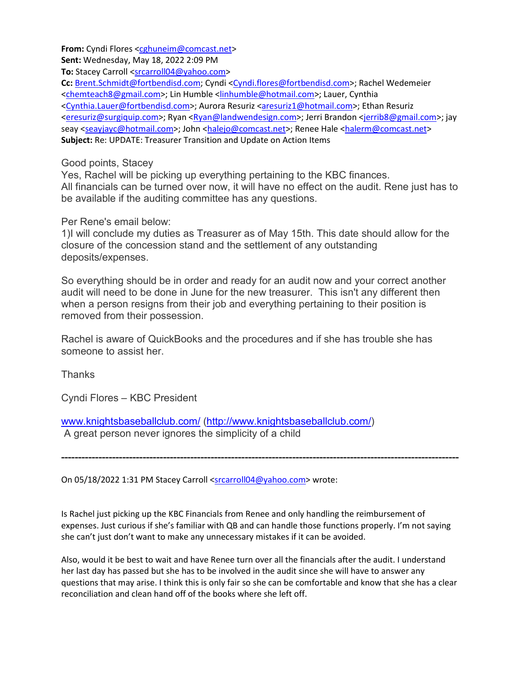**From:** Cyndi Flores [<cghuneim@comcast.net>](mailto:cghuneim@comcast.net)

**Sent:** Wednesday, May 18, 2022 2:09 PM

To: Stacey Carroll [<srcarroll04@yahoo.com>](mailto:srcarroll04@yahoo.com)

**Cc:** [Brent.Schmidt@fortbendisd.com;](mailto:Brent.Schmidt@fortbendisd.com) Cyndi [<Cyndi.flores@fortbendisd.com>](mailto:Cyndi.flores@fortbendisd.com); Rachel Wedemeier [<chemteach8@gmail.com>](mailto:chemteach8@gmail.com); Lin Humble [<linhumble@hotmail.com>](mailto:linhumble@hotmail.com); Lauer, Cynthia [<Cynthia.Lauer@fortbendisd.com>](mailto:Cynthia.Lauer@fortbendisd.com); Aurora Resuriz [<aresuriz1@hotmail.com>](mailto:aresuriz1@hotmail.com); Ethan Resuriz [<eresuriz@surgiquip.com>](mailto:eresuriz@surgiquip.com); Ryan [<Ryan@landwendesign.com>](mailto:Ryan@landwendesign.com); Jerri Brandon [<jerrib8@gmail.com>](mailto:jerrib8@gmail.com); jay seay [<seayjayc@hotmail.com>](mailto:seayjayc@hotmail.com); John [<halejo@comcast.net>](mailto:halejo@comcast.net); Renee Hale [<halerm@comcast.net>](mailto:halerm@comcast.net) **Subject:** Re: UPDATE: Treasurer Transition and Update on Action Items

#### Good points, Stacey

Yes, Rachel will be picking up everything pertaining to the KBC finances. All financials can be turned over now, it will have no effect on the audit. Rene just has to be available if the auditing committee has any questions.

Per Rene's email below:

1)I will conclude my duties as Treasurer as of May 15th. This date should allow for the closure of the concession stand and the settlement of any outstanding deposits/expenses.

So everything should be in order and ready for an audit now and your correct another audit will need to be done in June for the new treasurer. This isn't any different then when a person resigns from their job and everything pertaining to their position is removed from their possession.

Rachel is aware of QuickBooks and the procedures and if she has trouble she has someone to assist her.

**Thanks** 

Cyndi Flores – KBC President

[www.knightsbaseballclub.com/](http://www.knightsbaseballclub.com/) [\(http://www.knightsbaseballclub.com/\)](http://www.knightsbaseballclub.com/) A great person never ignores the simplicity of a child

**---------------------------------------------------------------------------------------------------------------------**

On 05/18/2022 1:31 PM Stacey Carroll [<srcarroll04@yahoo.com>](mailto:srcarroll04@yahoo.com) wrote:

Is Rachel just picking up the KBC Financials from Renee and only handling the reimbursement of expenses. Just curious if she's familiar with QB and can handle those functions properly. I'm not saying she can't just don't want to make any unnecessary mistakes if it can be avoided.

Also, would it be best to wait and have Renee turn over all the financials after the audit. I understand her last day has passed but she has to be involved in the audit since she will have to answer any questions that may arise. I think this is only fair so she can be comfortable and know that she has a clear reconciliation and clean hand off of the books where she left off.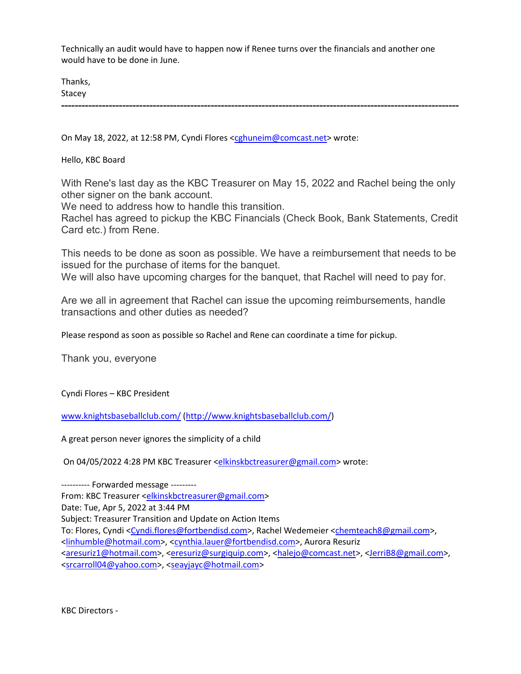Technically an audit would have to happen now if Renee turns over the financials and another one would have to be done in June.

Thanks, Stacey

**---------------------------------------------------------------------------------------------------------------------**

On May 18, 2022, at 12:58 PM, Cyndi Flores [<cghuneim@comcast.net>](mailto:cghuneim@comcast.net) wrote:

Hello, KBC Board

With Rene's last day as the KBC Treasurer on May 15, 2022 and Rachel being the only other signer on the bank account.

We need to address how to handle this transition.

Rachel has agreed to pickup the KBC Financials (Check Book, Bank Statements, Credit Card etc.) from Rene.

This needs to be done as soon as possible. We have a reimbursement that needs to be issued for the purchase of items for the banquet.

We will also have upcoming charges for the banquet, that Rachel will need to pay for.

Are we all in agreement that Rachel can issue the upcoming reimbursements, handle transactions and other duties as needed?

Please respond as soon as possible so Rachel and Rene can coordinate a time for pickup.

Thank you, everyone

Cyndi Flores – KBC President

[www.knightsbaseballclub.com/](http://www.knightsbaseballclub.com/) [\(http://www.knightsbaseballclub.com/\)](http://www.knightsbaseballclub.com/)

A great person never ignores the simplicity of a child

On 04/05/2022 4:28 PM KBC Treasurer [<elkinskbctreasurer@gmail.com>](mailto:elkinskbctreasurer@gmail.com) wrote:

---------- Forwarded message --------- From: KBC Treasurer [<elkinskbctreasurer@gmail.com>](mailto:elkinskbctreasurer@gmail.com) Date: Tue, Apr 5, 2022 at 3:44 PM Subject: Treasurer Transition and Update on Action Items To: Flores, Cyndi [<Cyndi.flores@fortbendisd.com>](mailto:Cyndi.flores@fortbendisd.com), Rachel Wedemeier [<chemteach8@gmail.com>](mailto:chemteach8@gmail.com), [<linhumble@hotmail.com>](mailto:linhumble@hotmail.com), [<cynthia.lauer@fortbendisd.com>](mailto:cynthia.lauer@fortbendisd.com), Aurora Resuriz [<aresuriz1@hotmail.com>](mailto:aresuriz1@hotmail.com), [<eresuriz@surgiquip.com>](mailto:eresuriz@surgiquip.com), [<halejo@comcast.net>](mailto:halejo@comcast.net), [<JerriB8@gmail.com>](mailto:JerriB8@gmail.com), [<srcarroll04@yahoo.com>](mailto:srcarroll04@yahoo.com), [<seayjayc@hotmail.com>](mailto:seayjayc@hotmail.com)

KBC Directors -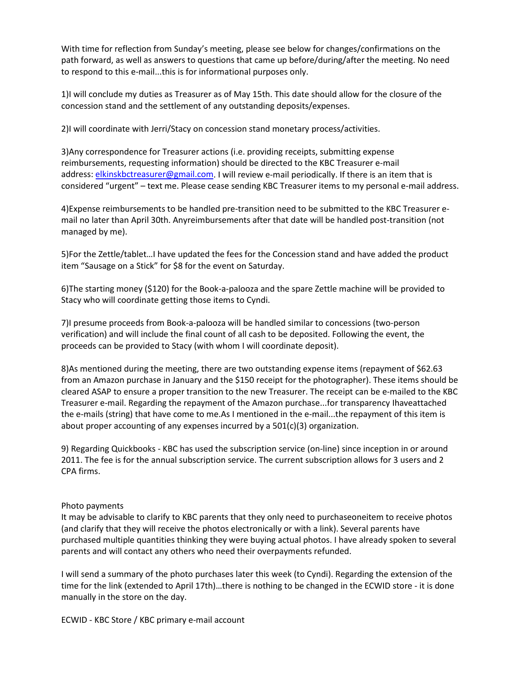With time for reflection from Sunday's meeting, please see below for changes/confirmations on the path forward, as well as answers to questions that came up before/during/after the meeting. No need to respond to this e-mail...this is for informational purposes only.

1)I will conclude my duties as Treasurer as of May 15th. This date should allow for the closure of the concession stand and the settlement of any outstanding deposits/expenses.

2)I will coordinate with Jerri/Stacy on concession stand monetary process/activities.

3)Any correspondence for Treasurer actions (i.e. providing receipts, submitting expense reimbursements, requesting information) should be directed to the KBC Treasurer e-mail address: [elkinskbctreasurer@gmail.com.](mailto:elkinskbctreasurer@gmail.com) I will review e-mail periodically. If there is an item that is considered "urgent" – text me. Please cease sending KBC Treasurer items to my personal e-mail address.

4)Expense reimbursements to be handled pre-transition need to be submitted to the KBC Treasurer email no later than April 30th. Anyreimbursements after that date will be handled post-transition (not managed by me).

5)For the Zettle/tablet…I have updated the fees for the Concession stand and have added the product item "Sausage on a Stick" for \$8 for the event on Saturday.

6)The starting money (\$120) for the Book-a-palooza and the spare Zettle machine will be provided to Stacy who will coordinate getting those items to Cyndi.

7)I presume proceeds from Book-a-palooza will be handled similar to concessions (two-person verification) and will include the final count of all cash to be deposited. Following the event, the proceeds can be provided to Stacy (with whom I will coordinate deposit).

8)As mentioned during the meeting, there are two outstanding expense items (repayment of \$62.63 from an Amazon purchase in January and the \$150 receipt for the photographer). These items should be cleared ASAP to ensure a proper transition to the new Treasurer. The receipt can be e-mailed to the KBC Treasurer e-mail. Regarding the repayment of the Amazon purchase...for transparency Ihaveattached the e-mails (string) that have come to me.As I mentioned in the e-mail...the repayment of this item is about proper accounting of any expenses incurred by a 501(c)(3) organization.

9) Regarding Quickbooks - KBC has used the subscription service (on-line) since inception in or around 2011. The fee is for the annual subscription service. The current subscription allows for 3 users and 2 CPA firms.

#### Photo payments

It may be advisable to clarify to KBC parents that they only need to purchaseoneitem to receive photos (and clarify that they will receive the photos electronically or with a link). Several parents have purchased multiple quantities thinking they were buying actual photos. I have already spoken to several parents and will contact any others who need their overpayments refunded.

I will send a summary of the photo purchases later this week (to Cyndi). Regarding the extension of the time for the link (extended to April 17th)…there is nothing to be changed in the ECWID store - it is done manually in the store on the day.

ECWID - KBC Store / KBC primary e-mail account